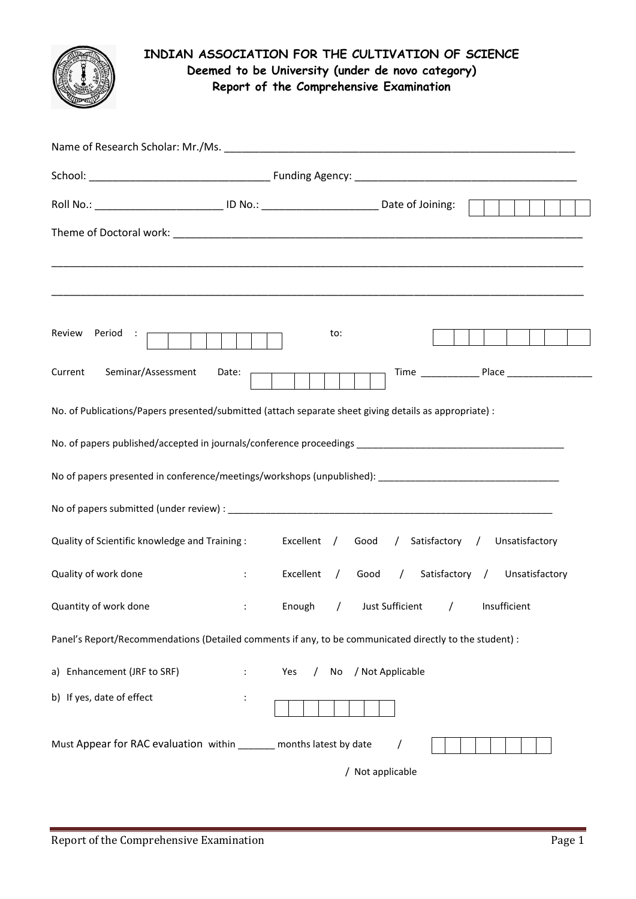

## **INDIAN ASSOCIATION FOR THE CULTIVATION OF SCIENCE Deemed to be University (under de novo category) Report of the Comprehensive Examination**

| Roll No.: _______________________________ ID No.: _______________________________ Date of Joining:      |                              |                 |     |                                                  |  |  |  |
|---------------------------------------------------------------------------------------------------------|------------------------------|-----------------|-----|--------------------------------------------------|--|--|--|
|                                                                                                         |                              |                 |     |                                                  |  |  |  |
| Review Period : p                                                                                       |                              |                 | to: |                                                  |  |  |  |
| Current<br>Seminar/Assessment                                                                           | Date:                        |                 |     |                                                  |  |  |  |
| No. of Publications/Papers presented/submitted (attach separate sheet giving details as appropriate) :  |                              |                 |     |                                                  |  |  |  |
|                                                                                                         |                              |                 |     |                                                  |  |  |  |
|                                                                                                         |                              |                 |     |                                                  |  |  |  |
|                                                                                                         |                              |                 |     |                                                  |  |  |  |
| Quality of Scientific knowledge and Training: Excellent / Good / Satisfactory / Unsatisfactory          |                              |                 |     |                                                  |  |  |  |
| Quality of work done                                                                                    | $\mathbb{E}[\mathbf{r}_i]$ . |                 |     | Excellent / Good / Satisfactory / Unsatisfactory |  |  |  |
| Quantity of work done                                                                                   | $10000$                      |                 |     | Enough / Just Sufficient / Insufficient          |  |  |  |
| Panel's Report/Recommendations (Detailed comments if any, to be communicated directly to the student) : |                              |                 |     |                                                  |  |  |  |
| a) Enhancement (JRF to SRF)                                                                             | ÷                            | Yes<br>$\prime$ | No  | / Not Applicable                                 |  |  |  |
| b) If yes, date of effect                                                                               |                              |                 |     |                                                  |  |  |  |
| Must Appear for RAC evaluation within ______ months latest by date                                      |                              |                 |     |                                                  |  |  |  |
|                                                                                                         |                              |                 |     | / Not applicable                                 |  |  |  |